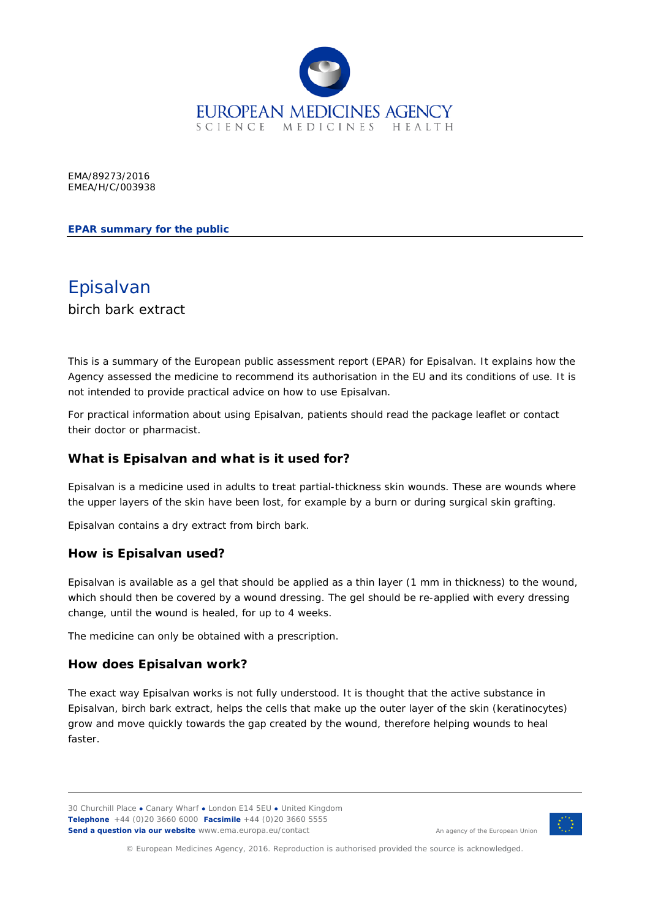

EMA/89273/2016 EMEA/H/C/003938

### **EPAR summary for the public**

Episalvan birch bark extract

This is a summary of the European public assessment report (EPAR) for Episalvan. It explains how the Agency assessed the medicine to recommend its authorisation in the EU and its conditions of use. It is not intended to provide practical advice on how to use Episalvan.

For practical information about using Episalvan, patients should read the package leaflet or contact their doctor or pharmacist.

### **What is Episalvan and what is it used for?**

Episalvan is a medicine used in adults to treat partial-thickness skin wounds. These are wounds where the upper layers of the skin have been lost, for example by a burn or during surgical skin grafting.

Episalvan contains a dry extract from birch bark.

### **How is Episalvan used?**

Episalvan is available as a gel that should be applied as a thin layer (1 mm in thickness) to the wound, which should then be covered by a wound dressing. The gel should be re-applied with every dressing change, until the wound is healed, for up to 4 weeks.

The medicine can only be obtained with a prescription.

### **How does Episalvan work?**

The exact way Episalvan works is not fully understood. It is thought that the active substance in Episalvan, birch bark extract, helps the cells that make up the outer layer of the skin (keratinocytes) grow and move quickly towards the gap created by the wound, therefore helping wounds to heal faster.



An agency of the European Union

© European Medicines Agency, 2016. Reproduction is authorised provided the source is acknowledged.

<sup>30</sup> Churchill Place **●** Canary Wharf **●** London E14 5EU **●** United Kingdom **Telephone** +44 (0)20 3660 6000 **Facsimile** +44 (0)20 3660 5555 **Send a question via our website** www.ema.europa.eu/contact